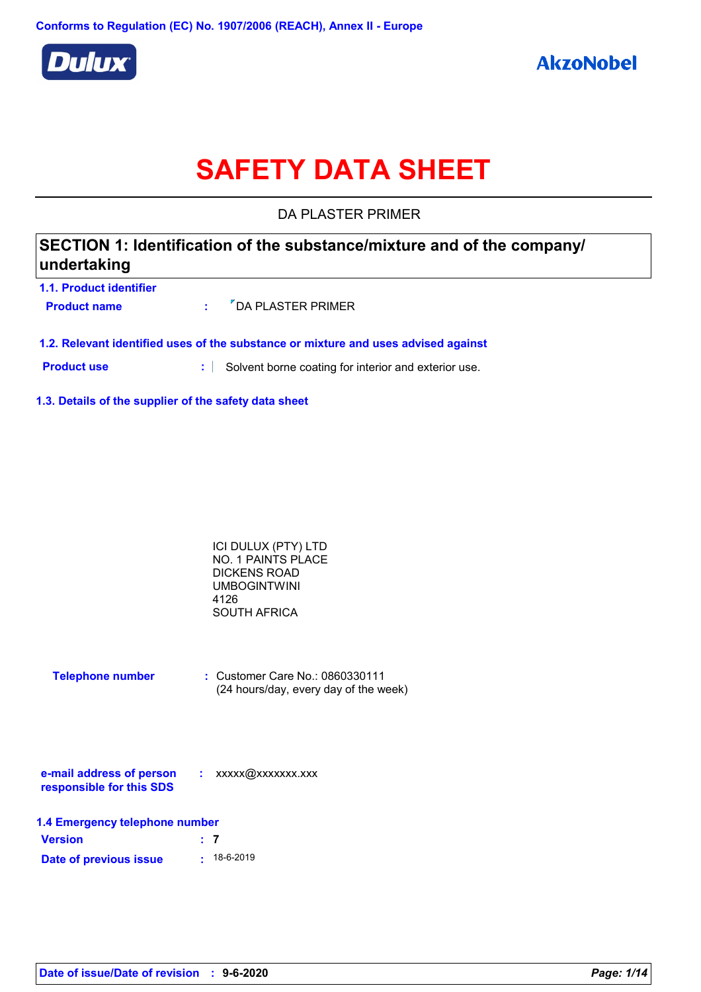

# **SAFETY DATA SHEET**

DA PLASTER PRIMER

| SECTION 1: Identification of the substance/mixture and of the company/<br> undertaking |                |                                                                                    |
|----------------------------------------------------------------------------------------|----------------|------------------------------------------------------------------------------------|
| 1.1. Product identifier                                                                |                |                                                                                    |
| <b>Product name</b>                                                                    | ÷              | "DA PLASTER PRIMER                                                                 |
|                                                                                        |                | 1.2. Relevant identified uses of the substance or mixture and uses advised against |
| <b>Product use</b>                                                                     | $\mathbf{a}$ . | Solvent borne coating for interior and exterior use.                               |
|                                                                                        |                |                                                                                    |

**1.3. Details of the supplier of the safety data sheet**

| ICI DULUX (PTY) LTD |  |
|---------------------|--|
| NO. 1 PAINTS PLACE  |  |
| DICKENS ROAD        |  |
| <b>UMBOGINTWINI</b> |  |
| 4126                |  |
| <b>SOUTH AFRICA</b> |  |

| <b>Telephone number</b> | : Customer Care No.: 0860330111       |  |
|-------------------------|---------------------------------------|--|
|                         | (24 hours/day, every day of the week) |  |

| e-mail address of person | xxxxx@xxxxxxx.xxx |
|--------------------------|-------------------|
| responsible for this SDS |                   |

| 1.4 Emergency telephone number |  |                   |
|--------------------------------|--|-------------------|
| <b>Version</b>                 |  | $\pm$ 7           |
| Date of previous issue         |  | $\cdot$ 18-6-2019 |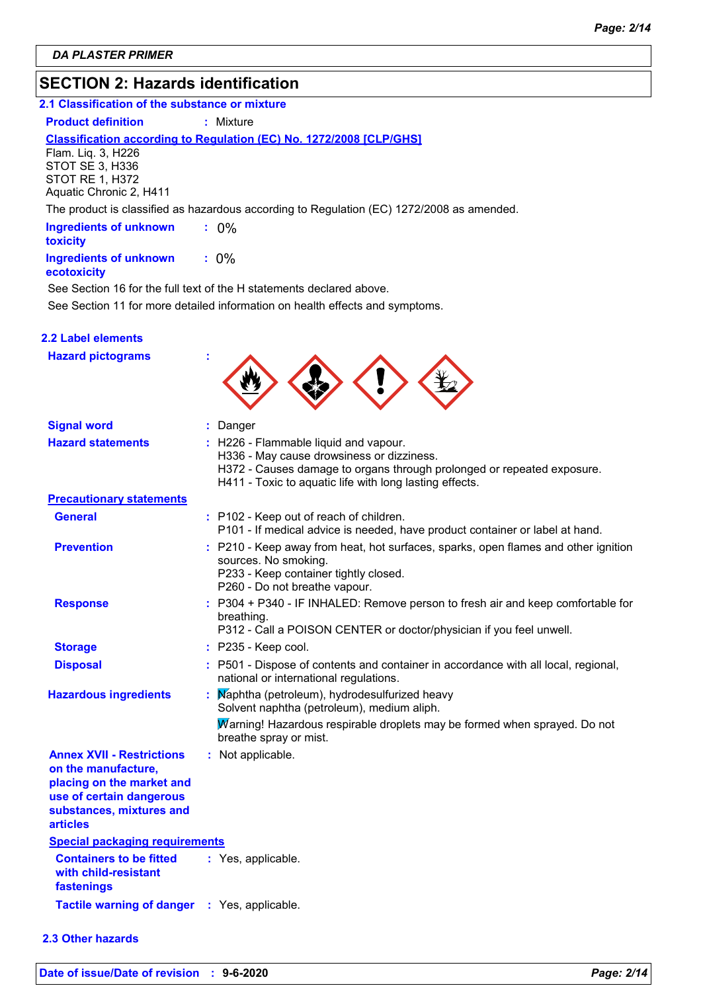### **SECTION 2: Hazards identification**

#### **2.1 Classification of the substance or mixture**

**Product definition : Mixture** 

#### **Classification according to Regulation (EC) No. 1272/2008 [CLP/GHS]**

Flam. Liq. 3, H226 STOT SE 3, H336 STOT RE 1, H372 Aquatic Chronic 2, H411

The product is classified as hazardous according to Regulation (EC) 1272/2008 as amended.

| <b>Ingredients of unknown</b><br>toxicity | $: 0\%$ |  |
|-------------------------------------------|---------|--|
| <b>Ingredients of unknown</b>             | $: 0\%$ |  |

#### **ecotoxicity**

See Section 11 for more detailed information on health effects and symptoms. See Section 16 for the full text of the H statements declared above.

#### **2.2 Label elements**

| <b>Hazard pictograms</b>                                                                                                                                        |                                                                                                                                                                                                                         |
|-----------------------------------------------------------------------------------------------------------------------------------------------------------------|-------------------------------------------------------------------------------------------------------------------------------------------------------------------------------------------------------------------------|
| <b>Signal word</b>                                                                                                                                              | : Danger                                                                                                                                                                                                                |
| <b>Hazard statements</b>                                                                                                                                        | : H226 - Flammable liquid and vapour.<br>H336 - May cause drowsiness or dizziness.<br>H372 - Causes damage to organs through prolonged or repeated exposure.<br>H411 - Toxic to aquatic life with long lasting effects. |
| <b>Precautionary statements</b>                                                                                                                                 |                                                                                                                                                                                                                         |
| <b>General</b>                                                                                                                                                  | : P102 - Keep out of reach of children.<br>P101 - If medical advice is needed, have product container or label at hand.                                                                                                 |
| <b>Prevention</b>                                                                                                                                               | : P210 - Keep away from heat, hot surfaces, sparks, open flames and other ignition<br>sources. No smoking.<br>P233 - Keep container tightly closed.<br>P260 - Do not breathe vapour.                                    |
| <b>Response</b>                                                                                                                                                 | : P304 + P340 - IF INHALED: Remove person to fresh air and keep comfortable for<br>breathing.<br>P312 - Call a POISON CENTER or doctor/physician if you feel unwell.                                                    |
| <b>Storage</b>                                                                                                                                                  | $:$ P235 - Keep cool.                                                                                                                                                                                                   |
| <b>Disposal</b>                                                                                                                                                 | : P501 - Dispose of contents and container in accordance with all local, regional,<br>national or international regulations.                                                                                            |
| <b>Hazardous ingredients</b>                                                                                                                                    | Maphtha (petroleum), hydrodesulfurized heavy<br>Solvent naphtha (petroleum), medium aliph.                                                                                                                              |
|                                                                                                                                                                 | Marning! Hazardous respirable droplets may be formed when sprayed. Do not<br>breathe spray or mist.                                                                                                                     |
| <b>Annex XVII - Restrictions</b><br>on the manufacture,<br>placing on the market and<br>use of certain dangerous<br>substances, mixtures and<br><b>articles</b> | : Not applicable.                                                                                                                                                                                                       |
| <b>Special packaging requirements</b>                                                                                                                           |                                                                                                                                                                                                                         |
| <b>Containers to be fitted</b><br>with child-resistant<br>fastenings                                                                                            | : Yes, applicable.                                                                                                                                                                                                      |
| <b>Tactile warning of danger</b>                                                                                                                                | : Yes, applicable.                                                                                                                                                                                                      |

#### **2.3 Other hazards**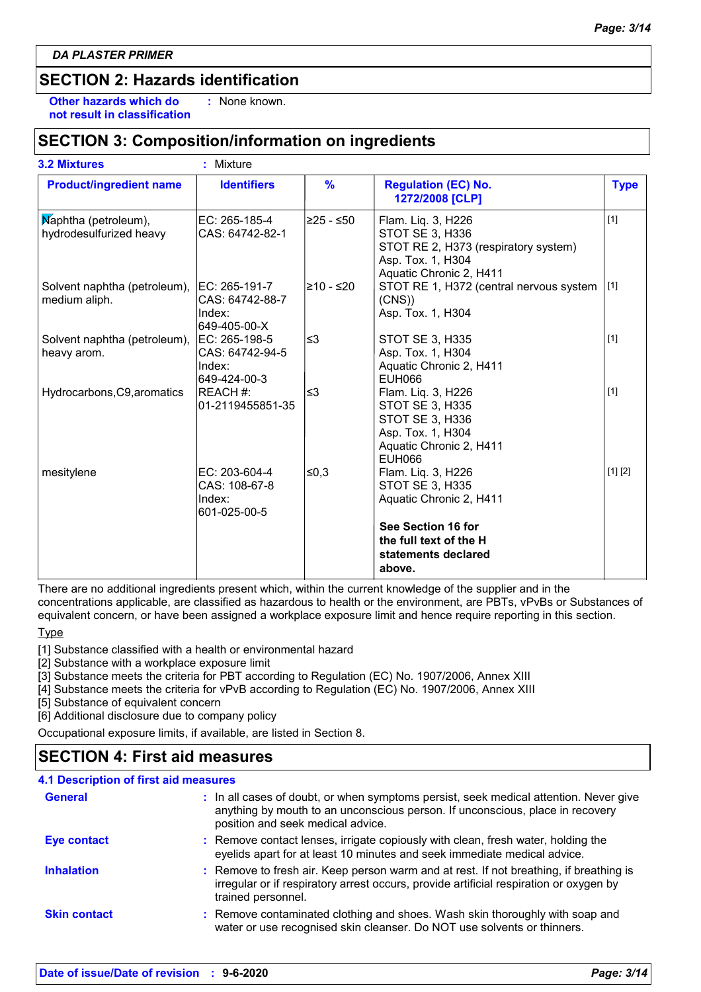### **SECTION 2: Hazards identification**

**Other hazards which do : not result in classification** : None known.

### **SECTION 3: Composition/information on ingredients**

| <b>3.2 Mixtures</b>                             | : Mixture                                                  |               |                                                                                                                                  |             |
|-------------------------------------------------|------------------------------------------------------------|---------------|----------------------------------------------------------------------------------------------------------------------------------|-------------|
| <b>Product/ingredient name</b>                  | <b>Identifiers</b>                                         | $\frac{9}{6}$ | <b>Regulation (EC) No.</b><br>1272/2008 [CLP]                                                                                    | <b>Type</b> |
| Maphtha (petroleum),<br>hydrodesulfurized heavy | EC: 265-185-4<br>CAS: 64742-82-1                           | 225 - ≤50∣    | Flam. Liq. 3, H226<br>STOT SE 3, H336<br>STOT RE 2, H373 (respiratory system)<br>Asp. Tox. 1, H304<br>Aquatic Chronic 2, H411    | $[1]$       |
| Solvent naphtha (petroleum),<br>medium aliph.   | EC: 265-191-7<br>CAS: 64742-88-7<br>Index:<br>649-405-00-X | l≥10 - ≤20    | STOT RE 1, H372 (central nervous system<br>(CNS)<br>Asp. Tox. 1, H304                                                            | [1]         |
| Solvent naphtha (petroleum),<br>heavy arom.     | EC: 265-198-5<br>CAS: 64742-94-5<br>Index:<br>649-424-00-3 | l≤3           | <b>STOT SE 3, H335</b><br>Asp. Tox. 1, H304<br>Aquatic Chronic 2, H411<br>EUH066                                                 | $[1]$       |
| Hydrocarbons, C9, aromatics                     | REACH #:<br>01-2119455851-35                               | l≤3           | Flam. Liq. 3, H226<br><b>STOT SE 3, H335</b><br>STOT SE 3, H336<br>Asp. Tox. 1, H304<br>Aquatic Chronic 2, H411<br><b>EUH066</b> | $[1]$       |
| mesitylene                                      | EC: 203-604-4<br>CAS: 108-67-8<br>Index:<br>601-025-00-5   | ≤0,3          | Flam. Liq. 3, H226<br><b>STOT SE 3, H335</b><br>Aquatic Chronic 2, H411                                                          | [1] [2]     |
|                                                 |                                                            |               | See Section 16 for<br>the full text of the H<br>statements declared<br>above.                                                    |             |

There are no additional ingredients present which, within the current knowledge of the supplier and in the concentrations applicable, are classified as hazardous to health or the environment, are PBTs, vPvBs or Substances of equivalent concern, or have been assigned a workplace exposure limit and hence require reporting in this section.

Type

[1] Substance classified with a health or environmental hazard

[2] Substance with a workplace exposure limit

[3] Substance meets the criteria for PBT according to Regulation (EC) No. 1907/2006, Annex XIII

[4] Substance meets the criteria for vPvB according to Regulation (EC) No. 1907/2006, Annex XIII

[5] Substance of equivalent concern

[6] Additional disclosure due to company policy

Occupational exposure limits, if available, are listed in Section 8.

### **SECTION 4: First aid measures**

| <b>4.1 Description of first aid measures</b> |                                                                                                                                                                                                             |
|----------------------------------------------|-------------------------------------------------------------------------------------------------------------------------------------------------------------------------------------------------------------|
| <b>General</b>                               | : In all cases of doubt, or when symptoms persist, seek medical attention. Never give<br>anything by mouth to an unconscious person. If unconscious, place in recovery<br>position and seek medical advice. |
| <b>Eye contact</b>                           | : Remove contact lenses, irrigate copiously with clean, fresh water, holding the<br>eyelids apart for at least 10 minutes and seek immediate medical advice.                                                |
| <b>Inhalation</b>                            | : Remove to fresh air. Keep person warm and at rest. If not breathing, if breathing is<br>irregular or if respiratory arrest occurs, provide artificial respiration or oxygen by<br>trained personnel.      |
| <b>Skin contact</b>                          | : Remove contaminated clothing and shoes. Wash skin thoroughly with soap and<br>water or use recognised skin cleanser. Do NOT use solvents or thinners.                                                     |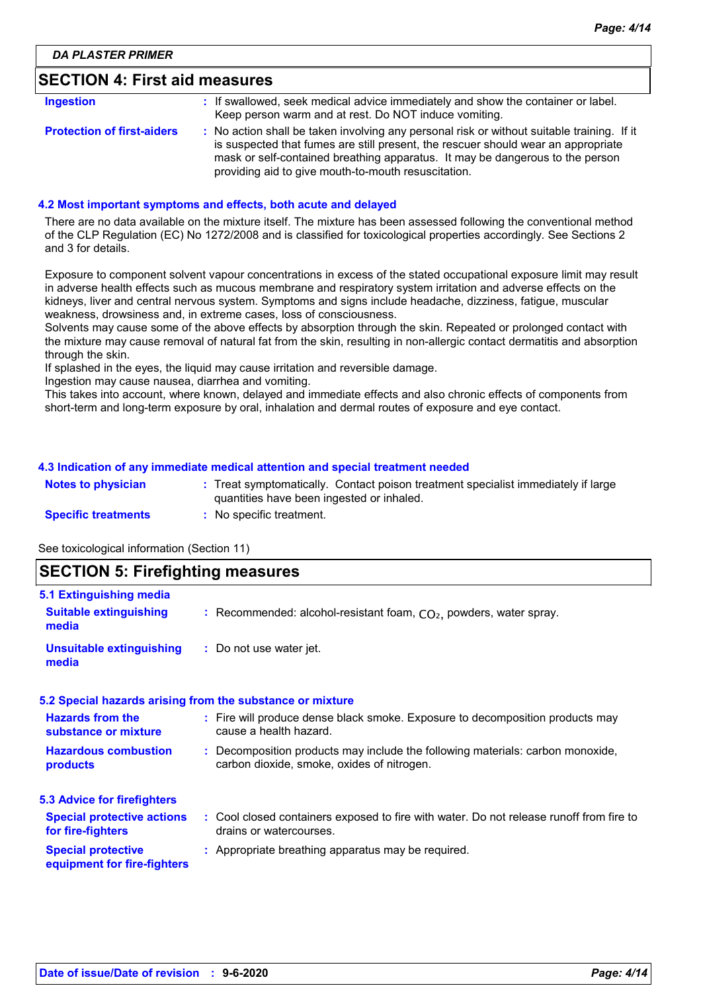#### **SECTION 4: First aid measures**

| Ingestion                         | : If swallowed, seek medical advice immediately and show the container or label.<br>Keep person warm and at rest. Do NOT induce vomiting.                                                                                                                                                                               |
|-----------------------------------|-------------------------------------------------------------------------------------------------------------------------------------------------------------------------------------------------------------------------------------------------------------------------------------------------------------------------|
| <b>Protection of first-aiders</b> | : No action shall be taken involving any personal risk or without suitable training. If it<br>is suspected that fumes are still present, the rescuer should wear an appropriate<br>mask or self-contained breathing apparatus. It may be dangerous to the person<br>providing aid to give mouth-to-mouth resuscitation. |

#### **4.2 Most important symptoms and effects, both acute and delayed**

There are no data available on the mixture itself. The mixture has been assessed following the conventional method of the CLP Regulation (EC) No 1272/2008 and is classified for toxicological properties accordingly. See Sections 2 and 3 for details.

Exposure to component solvent vapour concentrations in excess of the stated occupational exposure limit may result in adverse health effects such as mucous membrane and respiratory system irritation and adverse effects on the kidneys, liver and central nervous system. Symptoms and signs include headache, dizziness, fatigue, muscular weakness, drowsiness and, in extreme cases, loss of consciousness.

Solvents may cause some of the above effects by absorption through the skin. Repeated or prolonged contact with the mixture may cause removal of natural fat from the skin, resulting in non-allergic contact dermatitis and absorption through the skin.

If splashed in the eyes, the liquid may cause irritation and reversible damage.

Ingestion may cause nausea, diarrhea and vomiting.

This takes into account, where known, delayed and immediate effects and also chronic effects of components from short-term and long-term exposure by oral, inhalation and dermal routes of exposure and eye contact.

#### **4.3 Indication of any immediate medical attention and special treatment needed**

| <b>Notes to physician</b>  | Treat symptomatically. Contact poison treatment specialist immediately if large<br>quantities have been ingested or inhaled. |
|----------------------------|------------------------------------------------------------------------------------------------------------------------------|
| <b>Specific treatments</b> | No specific treatment.                                                                                                       |

See toxicological information (Section 11)

### **SECTION 5: Firefighting measures**

| 5.1 Extinguishing media                                  |                                                                                                                              |
|----------------------------------------------------------|------------------------------------------------------------------------------------------------------------------------------|
| <b>Suitable extinguishing</b><br>media                   | : Recommended: alcohol-resistant foam, $CO2$ , powders, water spray.                                                         |
| <b>Unsuitable extinguishing</b><br>media                 | : Do not use water jet.                                                                                                      |
|                                                          | 5.2 Special hazards arising from the substance or mixture                                                                    |
| <b>Hazards from the</b><br>substance or mixture          | : Fire will produce dense black smoke. Exposure to decomposition products may<br>cause a health hazard.                      |
| <b>Hazardous combustion</b><br>products                  | : Decomposition products may include the following materials: carbon monoxide,<br>carbon dioxide, smoke, oxides of nitrogen. |
| <b>5.3 Advice for firefighters</b>                       |                                                                                                                              |
| <b>Special protective actions</b><br>for fire-fighters   | : Cool closed containers exposed to fire with water. Do not release runoff from fire to<br>drains or watercourses.           |
| <b>Special protective</b><br>equipment for fire-fighters | : Appropriate breathing apparatus may be required.                                                                           |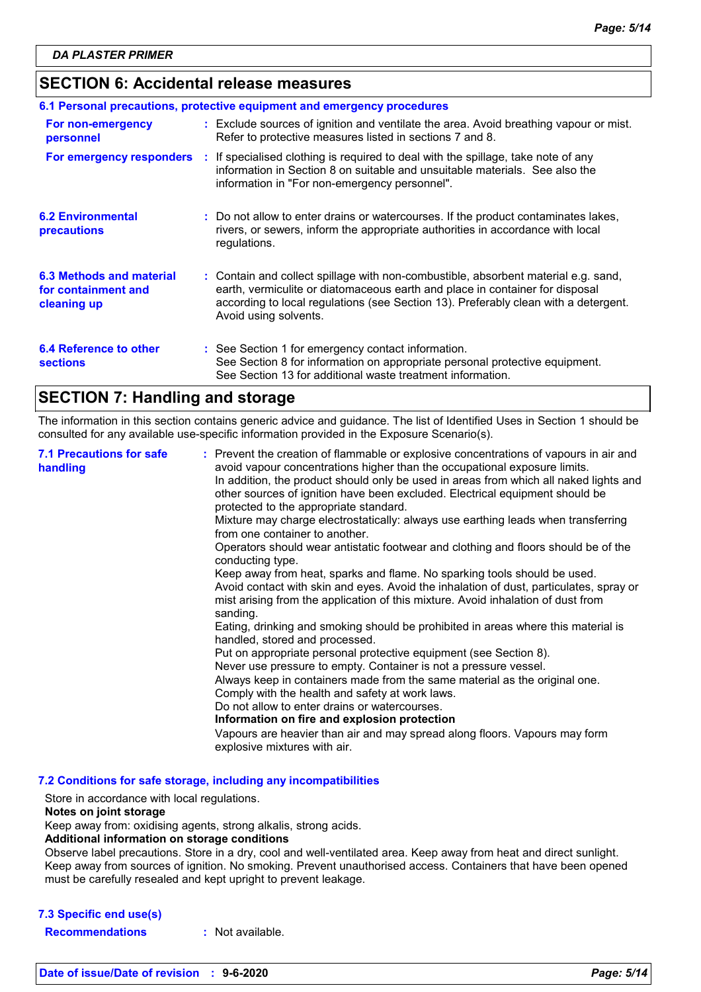### **SECTION 6: Accidental release measures**

|                                                                | 6.1 Personal precautions, protective equipment and emergency procedures |                                                                                                                                                                                                                                                                                    |  |  |
|----------------------------------------------------------------|-------------------------------------------------------------------------|------------------------------------------------------------------------------------------------------------------------------------------------------------------------------------------------------------------------------------------------------------------------------------|--|--|
| For non-emergency<br>personnel                                 |                                                                         | : Exclude sources of ignition and ventilate the area. Avoid breathing vapour or mist.<br>Refer to protective measures listed in sections 7 and 8.                                                                                                                                  |  |  |
| For emergency responders                                       |                                                                         | : If specialised clothing is required to deal with the spillage, take note of any<br>information in Section 8 on suitable and unsuitable materials. See also the<br>information in "For non-emergency personnel".                                                                  |  |  |
| <b>6.2 Environmental</b><br>precautions                        |                                                                         | : Do not allow to enter drains or watercourses. If the product contaminates lakes,<br>rivers, or sewers, inform the appropriate authorities in accordance with local<br>regulations.                                                                                               |  |  |
| 6.3 Methods and material<br>for containment and<br>cleaning up |                                                                         | : Contain and collect spillage with non-combustible, absorbent material e.g. sand,<br>earth, vermiculite or diatomaceous earth and place in container for disposal<br>according to local regulations (see Section 13). Preferably clean with a detergent.<br>Avoid using solvents. |  |  |
| 6.4 Reference to other<br><b>sections</b>                      |                                                                         | : See Section 1 for emergency contact information.<br>See Section 8 for information on appropriate personal protective equipment.<br>See Section 13 for additional waste treatment information.                                                                                    |  |  |

### **SECTION 7: Handling and storage**

The information in this section contains generic advice and guidance. The list of Identified Uses in Section 1 should be consulted for any available use-specific information provided in the Exposure Scenario(s).

| <b>7.1 Precautions for safe</b><br>handling | : Prevent the creation of flammable or explosive concentrations of vapours in air and<br>avoid vapour concentrations higher than the occupational exposure limits.<br>In addition, the product should only be used in areas from which all naked lights and<br>other sources of ignition have been excluded. Electrical equipment should be<br>protected to the appropriate standard.<br>Mixture may charge electrostatically: always use earthing leads when transferring<br>from one container to another.<br>Operators should wear antistatic footwear and clothing and floors should be of the<br>conducting type.<br>Keep away from heat, sparks and flame. No sparking tools should be used.<br>Avoid contact with skin and eyes. Avoid the inhalation of dust, particulates, spray or<br>mist arising from the application of this mixture. Avoid inhalation of dust from<br>sanding.<br>Eating, drinking and smoking should be prohibited in areas where this material is<br>handled, stored and processed.<br>Put on appropriate personal protective equipment (see Section 8).<br>Never use pressure to empty. Container is not a pressure vessel.<br>Always keep in containers made from the same material as the original one.<br>Comply with the health and safety at work laws.<br>Do not allow to enter drains or watercourses.<br>Information on fire and explosion protection<br>Vapours are heavier than air and may spread along floors. Vapours may form |
|---------------------------------------------|------------------------------------------------------------------------------------------------------------------------------------------------------------------------------------------------------------------------------------------------------------------------------------------------------------------------------------------------------------------------------------------------------------------------------------------------------------------------------------------------------------------------------------------------------------------------------------------------------------------------------------------------------------------------------------------------------------------------------------------------------------------------------------------------------------------------------------------------------------------------------------------------------------------------------------------------------------------------------------------------------------------------------------------------------------------------------------------------------------------------------------------------------------------------------------------------------------------------------------------------------------------------------------------------------------------------------------------------------------------------------------------------------------------------------------------------------------------------------|
|                                             | explosive mixtures with air.                                                                                                                                                                                                                                                                                                                                                                                                                                                                                                                                                                                                                                                                                                                                                                                                                                                                                                                                                                                                                                                                                                                                                                                                                                                                                                                                                                                                                                                 |

**7.2 Conditions for safe storage, including any incompatibilities**

Store in accordance with local regulations.

#### **Notes on joint storage**

Keep away from: oxidising agents, strong alkalis, strong acids.

#### **Additional information on storage conditions**

Observe label precautions. Store in a dry, cool and well-ventilated area. Keep away from heat and direct sunlight. Keep away from sources of ignition. No smoking. Prevent unauthorised access. Containers that have been opened must be carefully resealed and kept upright to prevent leakage.

#### **7.3 Specific end use(s)**

**Recommendations :** Not available.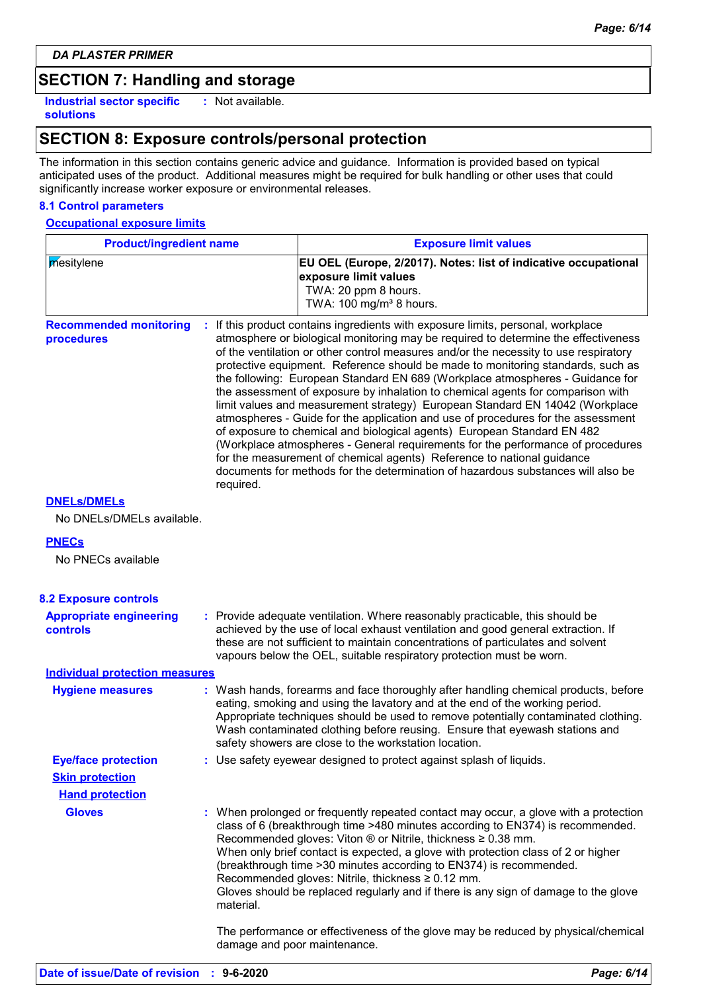### **SECTION 7: Handling and storage**

**Industrial sector specific : solutions**

: Not available.

### **SECTION 8: Exposure controls/personal protection**

The information in this section contains generic advice and guidance. Information is provided based on typical anticipated uses of the product. Additional measures might be required for bulk handling or other uses that could significantly increase worker exposure or environmental releases.

#### **8.1 Control parameters**

#### **Occupational exposure limits**

| <b>Product/ingredient name</b>                  |           | <b>Exposure limit values</b>                                                                                                                                                                                                                                                                                                                                                                                                                                                                                                                                                                                                                                                                                                                                                                                                                                                                                                                                                                                          |  |  |  |  |
|-------------------------------------------------|-----------|-----------------------------------------------------------------------------------------------------------------------------------------------------------------------------------------------------------------------------------------------------------------------------------------------------------------------------------------------------------------------------------------------------------------------------------------------------------------------------------------------------------------------------------------------------------------------------------------------------------------------------------------------------------------------------------------------------------------------------------------------------------------------------------------------------------------------------------------------------------------------------------------------------------------------------------------------------------------------------------------------------------------------|--|--|--|--|
| mesitylene                                      |           | EU OEL (Europe, 2/2017). Notes: list of indicative occupational<br>exposure limit values<br>TWA: 20 ppm 8 hours.<br>TWA: 100 mg/m <sup>3</sup> 8 hours.                                                                                                                                                                                                                                                                                                                                                                                                                                                                                                                                                                                                                                                                                                                                                                                                                                                               |  |  |  |  |
| <b>Recommended monitoring</b><br>procedures     | required. | : If this product contains ingredients with exposure limits, personal, workplace<br>atmosphere or biological monitoring may be required to determine the effectiveness<br>of the ventilation or other control measures and/or the necessity to use respiratory<br>protective equipment. Reference should be made to monitoring standards, such as<br>the following: European Standard EN 689 (Workplace atmospheres - Guidance for<br>the assessment of exposure by inhalation to chemical agents for comparison with<br>limit values and measurement strategy) European Standard EN 14042 (Workplace<br>atmospheres - Guide for the application and use of procedures for the assessment<br>of exposure to chemical and biological agents) European Standard EN 482<br>(Workplace atmospheres - General requirements for the performance of procedures<br>for the measurement of chemical agents) Reference to national guidance<br>documents for methods for the determination of hazardous substances will also be |  |  |  |  |
| <b>DNELS/DMELS</b><br>No DNELs/DMELs available. |           |                                                                                                                                                                                                                                                                                                                                                                                                                                                                                                                                                                                                                                                                                                                                                                                                                                                                                                                                                                                                                       |  |  |  |  |
| <b>PNECs</b>                                    |           |                                                                                                                                                                                                                                                                                                                                                                                                                                                                                                                                                                                                                                                                                                                                                                                                                                                                                                                                                                                                                       |  |  |  |  |
| No PNECs available                              |           |                                                                                                                                                                                                                                                                                                                                                                                                                                                                                                                                                                                                                                                                                                                                                                                                                                                                                                                                                                                                                       |  |  |  |  |
| <b>8.2 Exposure controls</b>                    |           |                                                                                                                                                                                                                                                                                                                                                                                                                                                                                                                                                                                                                                                                                                                                                                                                                                                                                                                                                                                                                       |  |  |  |  |
| <b>Appropriate engineering</b><br>controls      |           | : Provide adequate ventilation. Where reasonably practicable, this should be<br>achieved by the use of local exhaust ventilation and good general extraction. If<br>these are not sufficient to maintain concentrations of particulates and solvent<br>vapours below the OEL, suitable respiratory protection must be worn.                                                                                                                                                                                                                                                                                                                                                                                                                                                                                                                                                                                                                                                                                           |  |  |  |  |
| <b>Individual protection measures</b>           |           |                                                                                                                                                                                                                                                                                                                                                                                                                                                                                                                                                                                                                                                                                                                                                                                                                                                                                                                                                                                                                       |  |  |  |  |
| <b>Hygiene measures</b>                         |           | : Wash hands, forearms and face thoroughly after handling chemical products, before<br>eating, smoking and using the lavatory and at the end of the working period.<br>Appropriate techniques should be used to remove potentially contaminated clothing.<br>Wash contaminated clothing before reusing. Ensure that eyewash stations and<br>safety showers are close to the workstation location.                                                                                                                                                                                                                                                                                                                                                                                                                                                                                                                                                                                                                     |  |  |  |  |
| <b>Eye/face protection</b>                      |           | Use safety eyewear designed to protect against splash of liquids.                                                                                                                                                                                                                                                                                                                                                                                                                                                                                                                                                                                                                                                                                                                                                                                                                                                                                                                                                     |  |  |  |  |
| <b>Skin protection</b>                          |           |                                                                                                                                                                                                                                                                                                                                                                                                                                                                                                                                                                                                                                                                                                                                                                                                                                                                                                                                                                                                                       |  |  |  |  |
| <b>Hand protection</b>                          |           |                                                                                                                                                                                                                                                                                                                                                                                                                                                                                                                                                                                                                                                                                                                                                                                                                                                                                                                                                                                                                       |  |  |  |  |
| <b>Gloves</b>                                   | material. | : When prolonged or frequently repeated contact may occur, a glove with a protection<br>class of 6 (breakthrough time >480 minutes according to EN374) is recommended.<br>Recommended gloves: Viton ® or Nitrile, thickness ≥ 0.38 mm.<br>When only brief contact is expected, a glove with protection class of 2 or higher<br>(breakthrough time > 30 minutes according to EN374) is recommended.<br>Recommended gloves: Nitrile, thickness ≥ 0.12 mm.<br>Gloves should be replaced regularly and if there is any sign of damage to the glove                                                                                                                                                                                                                                                                                                                                                                                                                                                                        |  |  |  |  |
|                                                 |           | The performance or effectiveness of the glove may be reduced by physical/chemical<br>damage and poor maintenance.                                                                                                                                                                                                                                                                                                                                                                                                                                                                                                                                                                                                                                                                                                                                                                                                                                                                                                     |  |  |  |  |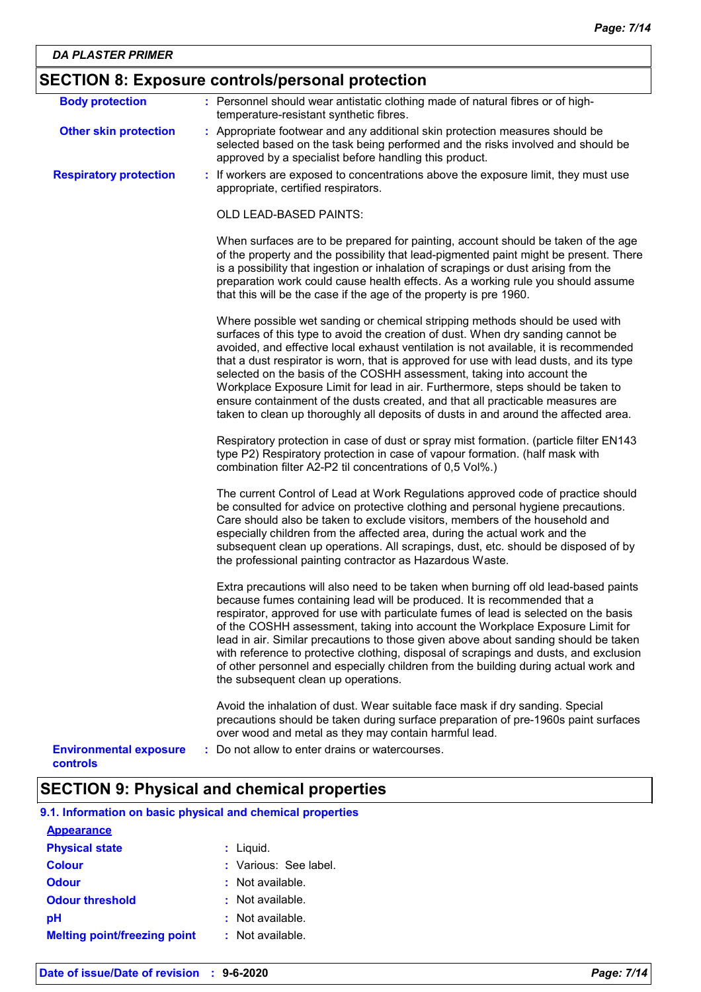| <b>Body protection</b>                    | : Personnel should wear antistatic clothing made of natural fibres or of high-                                                                                                                                                                                                                                                                                                                                                                                                                                                                                                                                                                                                          |
|-------------------------------------------|-----------------------------------------------------------------------------------------------------------------------------------------------------------------------------------------------------------------------------------------------------------------------------------------------------------------------------------------------------------------------------------------------------------------------------------------------------------------------------------------------------------------------------------------------------------------------------------------------------------------------------------------------------------------------------------------|
|                                           | temperature-resistant synthetic fibres.                                                                                                                                                                                                                                                                                                                                                                                                                                                                                                                                                                                                                                                 |
| <b>Other skin protection</b>              | : Appropriate footwear and any additional skin protection measures should be<br>selected based on the task being performed and the risks involved and should be<br>approved by a specialist before handling this product.                                                                                                                                                                                                                                                                                                                                                                                                                                                               |
| <b>Respiratory protection</b>             | : If workers are exposed to concentrations above the exposure limit, they must use<br>appropriate, certified respirators.                                                                                                                                                                                                                                                                                                                                                                                                                                                                                                                                                               |
|                                           | <b>OLD LEAD-BASED PAINTS:</b>                                                                                                                                                                                                                                                                                                                                                                                                                                                                                                                                                                                                                                                           |
|                                           | When surfaces are to be prepared for painting, account should be taken of the age<br>of the property and the possibility that lead-pigmented paint might be present. There<br>is a possibility that ingestion or inhalation of scrapings or dust arising from the<br>preparation work could cause health effects. As a working rule you should assume<br>that this will be the case if the age of the property is pre 1960.                                                                                                                                                                                                                                                             |
|                                           | Where possible wet sanding or chemical stripping methods should be used with<br>surfaces of this type to avoid the creation of dust. When dry sanding cannot be<br>avoided, and effective local exhaust ventilation is not available, it is recommended<br>that a dust respirator is worn, that is approved for use with lead dusts, and its type<br>selected on the basis of the COSHH assessment, taking into account the<br>Workplace Exposure Limit for lead in air. Furthermore, steps should be taken to<br>ensure containment of the dusts created, and that all practicable measures are<br>taken to clean up thoroughly all deposits of dusts in and around the affected area. |
|                                           | Respiratory protection in case of dust or spray mist formation. (particle filter EN143<br>type P2) Respiratory protection in case of vapour formation. (half mask with<br>combination filter A2-P2 til concentrations of 0,5 Vol%.)                                                                                                                                                                                                                                                                                                                                                                                                                                                     |
|                                           | The current Control of Lead at Work Regulations approved code of practice should<br>be consulted for advice on protective clothing and personal hygiene precautions.<br>Care should also be taken to exclude visitors, members of the household and<br>especially children from the affected area, during the actual work and the<br>subsequent clean up operations. All scrapings, dust, etc. should be disposed of by<br>the professional painting contractor as Hazardous Waste.                                                                                                                                                                                                     |
|                                           | Extra precautions will also need to be taken when burning off old lead-based paints<br>because fumes containing lead will be produced. It is recommended that a<br>respirator, approved for use with particulate fumes of lead is selected on the basis<br>of the COSHH assessment, taking into account the Workplace Exposure Limit for<br>lead in air. Similar precautions to those given above about sanding should be taken<br>with reference to protective clothing, disposal of scrapings and dusts, and exclusion<br>of other personnel and especially children from the building during actual work and<br>the subsequent clean up operations.                                  |
|                                           | Avoid the inhalation of dust. Wear suitable face mask if dry sanding. Special<br>precautions should be taken during surface preparation of pre-1960s paint surfaces<br>over wood and metal as they may contain harmful lead.                                                                                                                                                                                                                                                                                                                                                                                                                                                            |
| <b>Environmental exposure</b><br>controls | : Do not allow to enter drains or watercourses.                                                                                                                                                                                                                                                                                                                                                                                                                                                                                                                                                                                                                                         |

## **SECTION 9: Physical and chemical properties**

| 9.1. Information on basic physical and chemical properties |  |
|------------------------------------------------------------|--|
|------------------------------------------------------------|--|

| <b>Appearance</b>                   |                       |
|-------------------------------------|-----------------------|
| <b>Physical state</b>               | $:$ Liquid.           |
| <b>Colour</b>                       | : Various: See label. |
| Odour                               | $:$ Not available.    |
| <b>Odour threshold</b>              | $\pm$ Not available.  |
| рH                                  | $:$ Not available.    |
| <b>Melting point/freezing point</b> | : Not available.      |
|                                     |                       |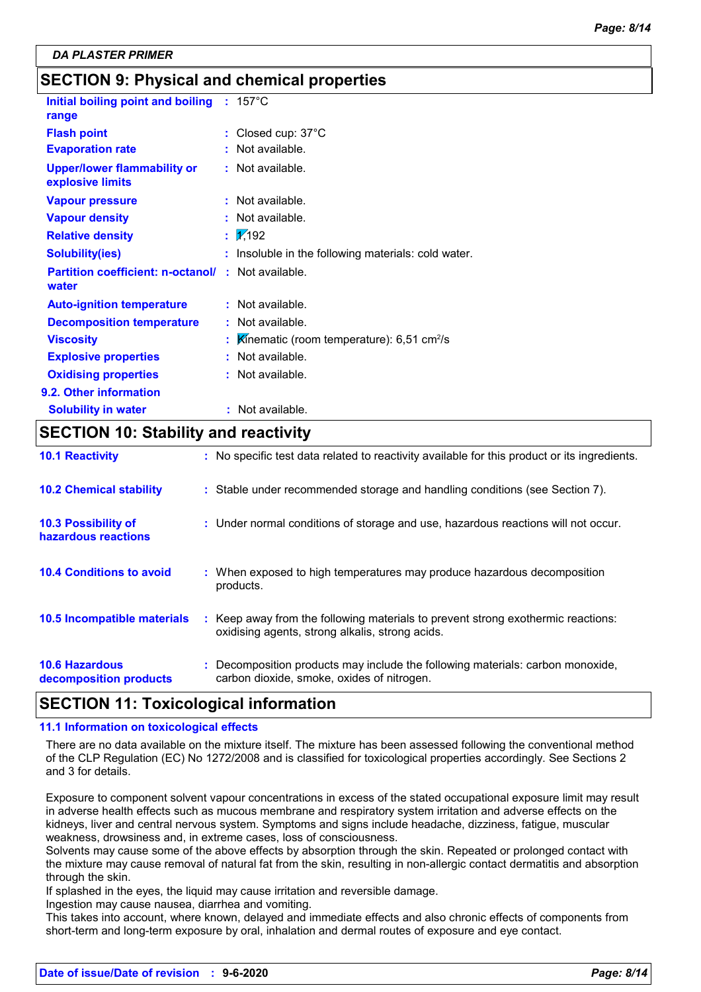### **SECTION 9: Physical and chemical properties**

| Initial boiling point and boiling : 157°C<br>range     |                                                         |
|--------------------------------------------------------|---------------------------------------------------------|
| <b>Flash point</b>                                     | : Closed cup: 37°C                                      |
| <b>Evaporation rate</b>                                | : Not available.                                        |
| <b>Upper/lower flammability or</b><br>explosive limits | : Not available.                                        |
| <b>Vapour pressure</b>                                 | : Not available.                                        |
| <b>Vapour density</b>                                  | Not available.                                          |
| <b>Relative density</b>                                | 1/192                                                   |
| <b>Solubility(ies)</b>                                 | : Insoluble in the following materials: cold water.     |
| <b>Partition coefficient: n-octanol/</b><br>water      | : Not available.                                        |
| <b>Auto-ignition temperature</b>                       | : Not available.                                        |
| <b>Decomposition temperature</b>                       | $:$ Not available.                                      |
| <b>Viscosity</b>                                       | Kinematic (room temperature): $6,51$ cm <sup>2</sup> /s |
| <b>Explosive properties</b>                            | $:$ Not available.                                      |
| <b>Oxidising properties</b>                            | $:$ Not available.                                      |
| 9.2. Other information                                 |                                                         |
| <b>Solubility in water</b>                             | : Not available.                                        |

### **SECTION 10: Stability and reactivity**

| <b>10.1 Reactivity</b>                            | : No specific test data related to reactivity available for this product or its ingredients.                                        |
|---------------------------------------------------|-------------------------------------------------------------------------------------------------------------------------------------|
| <b>10.2 Chemical stability</b>                    | : Stable under recommended storage and handling conditions (see Section 7).                                                         |
| <b>10.3 Possibility of</b><br>hazardous reactions | : Under normal conditions of storage and use, hazardous reactions will not occur.                                                   |
| <b>10.4 Conditions to avoid</b>                   | : When exposed to high temperatures may produce hazardous decomposition<br>products.                                                |
| 10.5 Incompatible materials                       | : Keep away from the following materials to prevent strong exothermic reactions:<br>oxidising agents, strong alkalis, strong acids. |
| <b>10.6 Hazardous</b><br>decomposition products   | : Decomposition products may include the following materials: carbon monoxide,<br>carbon dioxide, smoke, oxides of nitrogen.        |

### **SECTION 11: Toxicological information**

#### **11.1 Information on toxicological effects**

There are no data available on the mixture itself. The mixture has been assessed following the conventional method of the CLP Regulation (EC) No 1272/2008 and is classified for toxicological properties accordingly. See Sections 2 and 3 for details.

Exposure to component solvent vapour concentrations in excess of the stated occupational exposure limit may result in adverse health effects such as mucous membrane and respiratory system irritation and adverse effects on the kidneys, liver and central nervous system. Symptoms and signs include headache, dizziness, fatigue, muscular weakness, drowsiness and, in extreme cases, loss of consciousness.

Solvents may cause some of the above effects by absorption through the skin. Repeated or prolonged contact with the mixture may cause removal of natural fat from the skin, resulting in non-allergic contact dermatitis and absorption through the skin.

If splashed in the eyes, the liquid may cause irritation and reversible damage.

Ingestion may cause nausea, diarrhea and vomiting.

This takes into account, where known, delayed and immediate effects and also chronic effects of components from short-term and long-term exposure by oral, inhalation and dermal routes of exposure and eye contact.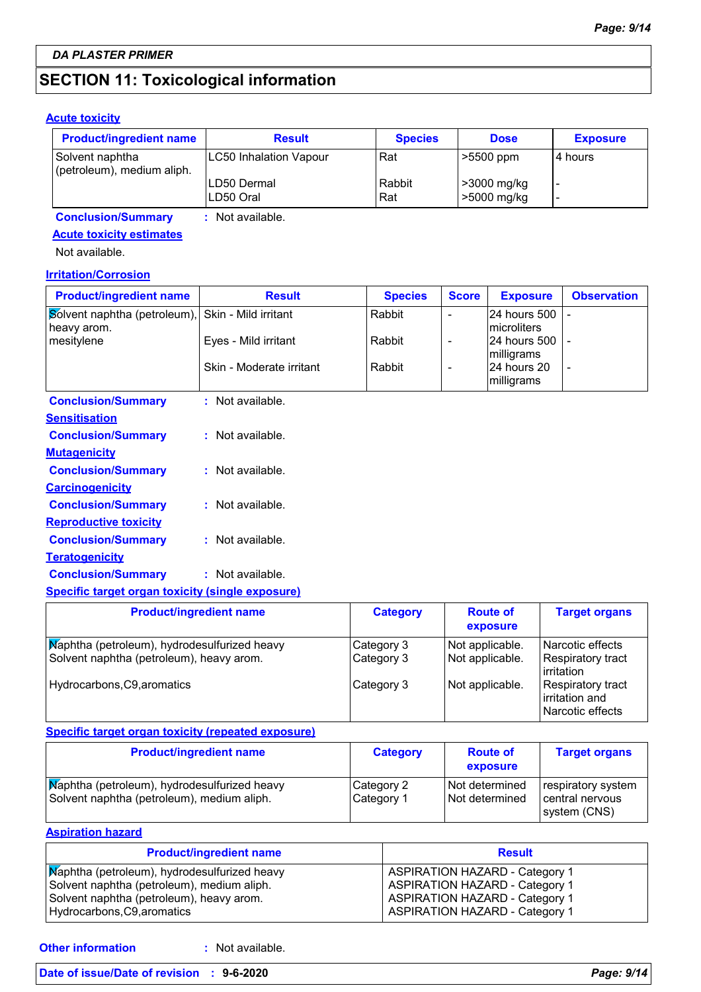## **SECTION 11: Toxicological information**

#### **Acute toxicity**

| <b>Product/ingredient name</b>                | <b>Result</b>              | <b>Species</b> | <b>Dose</b>                | <b>Exposure</b> |
|-----------------------------------------------|----------------------------|----------------|----------------------------|-----------------|
| Solvent naphtha<br>(petroleum), medium aliph. | LC50 Inhalation Vapour     | Rat            | $\geq 5500$ ppm            | I4 hours        |
|                                               | ILD50 Dermal<br>ILD50 Oral | Rabbit<br>Rat  | >3000 mg/kg<br>>5000 mg/kg |                 |

**Conclusion/Summary :** Not available.

### **Acute toxicity estimates**

Not available.

#### **Irritation/Corrosion**

| <b>Product/ingredient name</b>                                   | <b>Result</b>            | <b>Species</b> | <b>Score</b> | <b>Exposure</b>                       | <b>Observation</b> |
|------------------------------------------------------------------|--------------------------|----------------|--------------|---------------------------------------|--------------------|
| Solvent naphtha (petroleum), Skin - Mild irritant<br>heavy arom. |                          | Rabbit         |              | 24 hours 500 -<br><b>Imicroliters</b> |                    |
| mesitylene                                                       | Eyes - Mild irritant     | Rabbit         |              | 124 hours 500 1 -<br>milligrams       |                    |
|                                                                  | Skin - Moderate irritant | Rabbit         |              | 24 hours 20<br>milligrams             |                    |
| <b>Conclusion/Summary</b>                                        | Not available.           |                |              |                                       |                    |

| Sensitisation                |                    |
|------------------------------|--------------------|
| <b>Conclusion/Summary</b>    | $:$ Not available. |
| <u>Mutagenicity</u>          |                    |
| <b>Conclusion/Summary</b>    | : Not available.   |
| <b>Carcinogenicity</b>       |                    |
| <b>Conclusion/Summary</b>    | : Not available.   |
| <b>Reproductive toxicity</b> |                    |
| <b>Conclusion/Summary</b>    | $:$ Not available. |
| Teratogenicity               |                    |
| <b>Conclusion/Summary</b>    | : Not available.   |
|                              |                    |

#### **Specific target organ toxicity (single exposure)**

| <b>Product/ingredient name</b>                                                           | <b>Category</b>          | <b>Route of</b><br>exposure        | <b>Target organs</b>                                           |
|------------------------------------------------------------------------------------------|--------------------------|------------------------------------|----------------------------------------------------------------|
| Maphtha (petroleum), hydrodesulfurized heavy<br>Solvent naphtha (petroleum), heavy arom. | Category 3<br>Category 3 | Not applicable.<br>Not applicable. | Narcotic effects<br><b>Respiratory tract</b><br>irritation     |
| Hydrocarbons, C9, aromatics                                                              | Category 3               | Not applicable.                    | <b>Respiratory tract</b><br>irritation and<br>Narcotic effects |

### **Specific target organ toxicity (repeated exposure)**

| <b>Product/ingredient name</b>                                                             | <b>Category</b>          | <b>Route of</b><br>exposure      | <b>Target organs</b>                                  |
|--------------------------------------------------------------------------------------------|--------------------------|----------------------------------|-------------------------------------------------------|
| Maphtha (petroleum), hydrodesulfurized heavy<br>Solvent naphtha (petroleum), medium aliph. | Category 2<br>Category 1 | Not determined<br>Not determined | respiratory system<br>central nervous<br>system (CNS) |

#### **Aspiration hazard**

| <b>Product/ingredient name</b>               | <b>Result</b>                         |
|----------------------------------------------|---------------------------------------|
| Maphtha (petroleum), hydrodesulfurized heavy | <b>ASPIRATION HAZARD - Category 1</b> |
| Solvent naphtha (petroleum), medium aliph.   | <b>ASPIRATION HAZARD - Category 1</b> |
| Solvent naphtha (petroleum), heavy arom.     | <b>ASPIRATION HAZARD - Category 1</b> |
| Hydrocarbons, C9, aromatics                  | <b>ASPIRATION HAZARD - Category 1</b> |

**Other information :**

: Not available.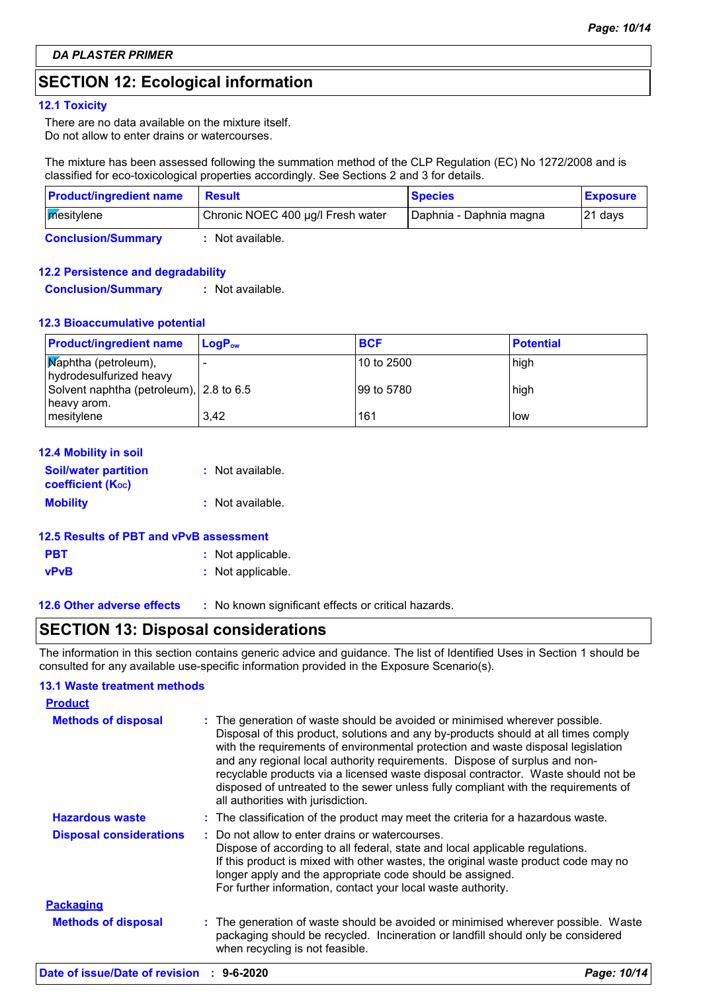### **SECTION 12: Ecological information**

#### **12.1 Toxicity**

There are no data available on the mixture itself. Do not allow to enter drains or watercourses.

The mixture has been assessed following the summation method of the CLP Regulation (EC) No 1272/2008 and is classified for eco-toxicological properties accordingly. See Sections 2 and 3 for details.

| <b>Product/ingredient name</b> | <b>Result</b>                     | <b>Species</b>          | <b>Exposure</b> |
|--------------------------------|-----------------------------------|-------------------------|-----------------|
| mesitylene                     | Chronic NOEC 400 µg/l Fresh water | Daphnia - Daphnia magna | 121 days        |
| <b>Conclusion/Summary</b>      | Not available.                    |                         |                 |

#### **12.2 Persistence and degradability**

**Conclusion/Summary :** Not available.

#### **12.3 Bioaccumulative potential**

| <b>Product/ingredient name</b>                         | $LoaPow$ | <b>BCF</b> | <b>Potential</b> |
|--------------------------------------------------------|----------|------------|------------------|
| Maphtha (petroleum),<br>hydrodesulfurized heavy        |          | 10 to 2500 | high             |
| Solvent naphtha (petroleum), 2.8 to 6.5<br>heavy arom. |          | 99 to 5780 | high             |
| mesitylene                                             | 3.42     | 161        | low              |

| <b>12.4 Mobility in soil</b>                                  |                  |
|---------------------------------------------------------------|------------------|
| <b>Soil/water partition</b><br>coefficient (K <sub>oc</sub> ) | : Not available. |
| <b>Mobility</b>                                               | : Not available. |
|                                                               |                  |

#### **12.5 Results of PBT and vPvB assessment**

| <b>PBT</b>  | : Not applicable. |
|-------------|-------------------|
| <b>vPvB</b> | : Not applicable. |

**12.6 Other adverse effects** : No known significant effects or critical hazards.

### **SECTION 13: Disposal considerations**

The information in this section contains generic advice and guidance. The list of Identified Uses in Section 1 should be consulted for any available use-specific information provided in the Exposure Scenario(s).

#### **13.1 Waste treatment methods**

| <b>Product</b>                 |                                                                                                                                                                                                                                                                                                                                                                                                                                                                                                                                                      |
|--------------------------------|------------------------------------------------------------------------------------------------------------------------------------------------------------------------------------------------------------------------------------------------------------------------------------------------------------------------------------------------------------------------------------------------------------------------------------------------------------------------------------------------------------------------------------------------------|
| <b>Methods of disposal</b>     | : The generation of waste should be avoided or minimised wherever possible.<br>Disposal of this product, solutions and any by-products should at all times comply<br>with the requirements of environmental protection and waste disposal legislation<br>and any regional local authority requirements. Dispose of surplus and non-<br>recyclable products via a licensed waste disposal contractor. Waste should not be<br>disposed of untreated to the sewer unless fully compliant with the requirements of<br>all authorities with jurisdiction. |
| <b>Hazardous waste</b>         | : The classification of the product may meet the criteria for a hazardous waste.                                                                                                                                                                                                                                                                                                                                                                                                                                                                     |
| <b>Disposal considerations</b> | : Do not allow to enter drains or watercourses.<br>Dispose of according to all federal, state and local applicable regulations.<br>If this product is mixed with other wastes, the original waste product code may no<br>longer apply and the appropriate code should be assigned.<br>For further information, contact your local waste authority.                                                                                                                                                                                                   |
| <b>Packaging</b>               |                                                                                                                                                                                                                                                                                                                                                                                                                                                                                                                                                      |
| <b>Methods of disposal</b>     | : The generation of waste should be avoided or minimised wherever possible. Waste<br>packaging should be recycled. Incineration or landfill should only be considered<br>when recycling is not feasible.                                                                                                                                                                                                                                                                                                                                             |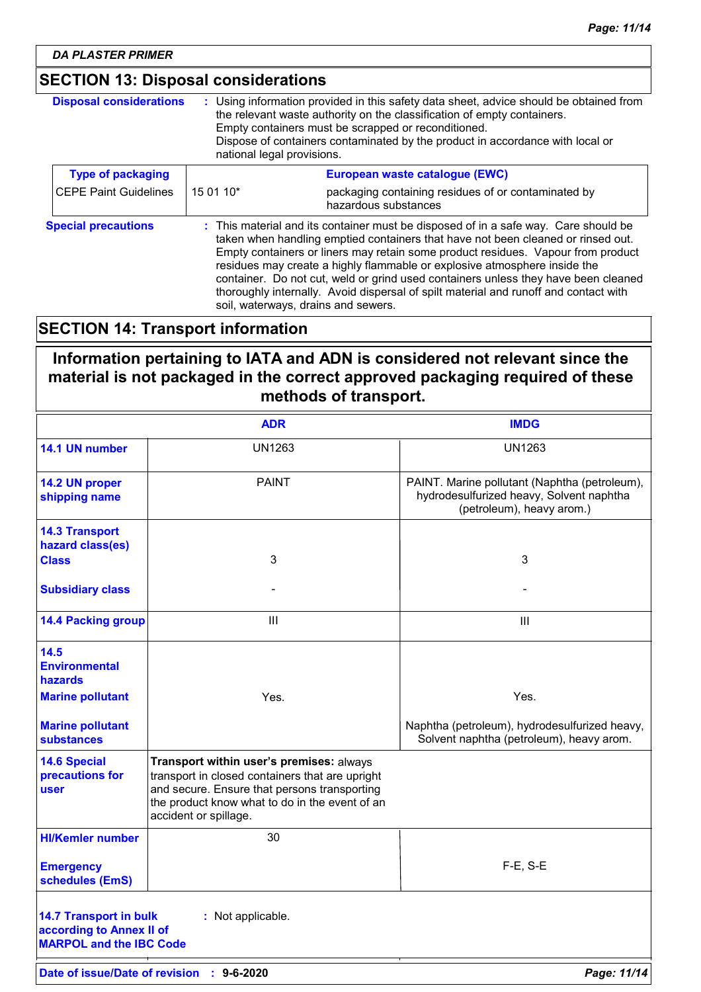*DA PLASTER PRIMER*

### **SECTION 13: Disposal considerations**

| <b>Disposal considerations</b> | : Using information provided in this safety data sheet, advice should be obtained from<br>the relevant waste authority on the classification of empty containers.<br>Empty containers must be scrapped or reconditioned.<br>Dispose of containers contaminated by the product in accordance with local or<br>national legal provisions.                                                                                                                                                                                                                       |                                                                             |
|--------------------------------|---------------------------------------------------------------------------------------------------------------------------------------------------------------------------------------------------------------------------------------------------------------------------------------------------------------------------------------------------------------------------------------------------------------------------------------------------------------------------------------------------------------------------------------------------------------|-----------------------------------------------------------------------------|
| <b>Type of packaging</b>       |                                                                                                                                                                                                                                                                                                                                                                                                                                                                                                                                                               | European waste catalogue (EWC)                                              |
| <b>CEPE Paint Guidelines</b>   | 15 01 10*                                                                                                                                                                                                                                                                                                                                                                                                                                                                                                                                                     | packaging containing residues of or contaminated by<br>hazardous substances |
| <b>Special precautions</b>     | : This material and its container must be disposed of in a safe way. Care should be<br>taken when handling emptied containers that have not been cleaned or rinsed out.<br>Empty containers or liners may retain some product residues. Vapour from product<br>residues may create a highly flammable or explosive atmosphere inside the<br>container. Do not cut, weld or grind used containers unless they have been cleaned<br>thoroughly internally. Avoid dispersal of spilt material and runoff and contact with<br>soil, waterways, drains and sewers. |                                                                             |

### **SECTION 14: Transport information**

**Information pertaining to IATA and ADN is considered not relevant since the material is not packaged in the correct approved packaging required of these methods of transport.**

|                                                                                             | <b>ADR</b>                                                                                                                                                                                                             | <b>IMDG</b>                                                                                                            |
|---------------------------------------------------------------------------------------------|------------------------------------------------------------------------------------------------------------------------------------------------------------------------------------------------------------------------|------------------------------------------------------------------------------------------------------------------------|
| 14.1 UN number                                                                              | <b>UN1263</b>                                                                                                                                                                                                          | <b>UN1263</b>                                                                                                          |
| 14.2 UN proper<br>shipping name                                                             | <b>PAINT</b>                                                                                                                                                                                                           | PAINT. Marine pollutant (Naphtha (petroleum),<br>hydrodesulfurized heavy, Solvent naphtha<br>(petroleum), heavy arom.) |
| <b>14.3 Transport</b><br>hazard class(es)                                                   |                                                                                                                                                                                                                        | 3                                                                                                                      |
| <b>Class</b>                                                                                | 3                                                                                                                                                                                                                      |                                                                                                                        |
| <b>Subsidiary class</b>                                                                     |                                                                                                                                                                                                                        |                                                                                                                        |
| <b>14.4 Packing group</b>                                                                   | III                                                                                                                                                                                                                    | III                                                                                                                    |
| 14.5<br><b>Environmental</b><br>hazards                                                     |                                                                                                                                                                                                                        |                                                                                                                        |
| <b>Marine pollutant</b>                                                                     | Yes.                                                                                                                                                                                                                   | Yes.                                                                                                                   |
| <b>Marine pollutant</b><br><b>substances</b>                                                |                                                                                                                                                                                                                        | Naphtha (petroleum), hydrodesulfurized heavy,<br>Solvent naphtha (petroleum), heavy arom.                              |
| <b>14.6 Special</b><br>precautions for<br>user                                              | Transport within user's premises: always<br>transport in closed containers that are upright<br>and secure. Ensure that persons transporting<br>the product know what to do in the event of an<br>accident or spillage. |                                                                                                                        |
| <b>HI/Kemler number</b>                                                                     | 30                                                                                                                                                                                                                     |                                                                                                                        |
| <b>Emergency</b><br>schedules (EmS)                                                         |                                                                                                                                                                                                                        | F-E, S-E                                                                                                               |
| <b>14.7 Transport in bulk</b><br>according to Annex II of<br><b>MARPOL and the IBC Code</b> | : Not applicable.                                                                                                                                                                                                      |                                                                                                                        |
| Date of issue/Date of revision                                                              | $: 9 - 6 - 2020$                                                                                                                                                                                                       | Page: 11/14                                                                                                            |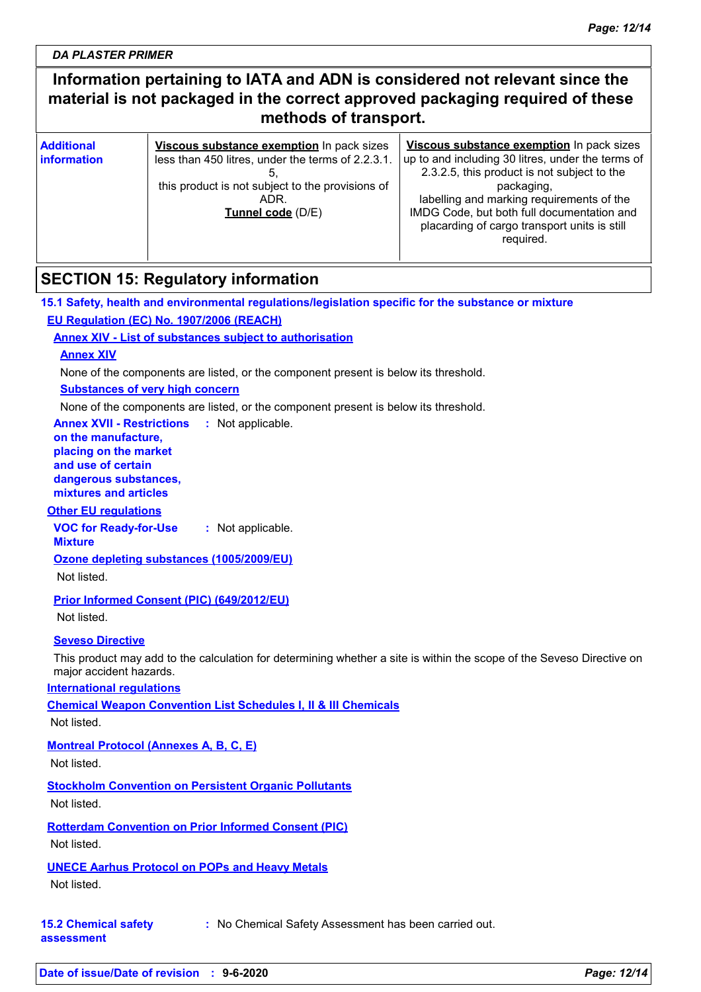*DA PLASTER PRIMER*

### **Information pertaining to IATA and ADN is considered not relevant since the material is not packaged in the correct approved packaging required of these methods of transport.**

| <b>Additional</b><br><b>linformation</b> | Viscous substance exemption In pack sizes<br>less than 450 litres, under the terms of 2.2.3.1.<br>this product is not subject to the provisions of<br>ADR.<br>Tunnel code (D/E) | Viscous substance exemption In pack sizes<br>up to and including 30 litres, under the terms of<br>2.3.2.5, this product is not subject to the<br>packaging,<br>labelling and marking requirements of the<br>IMDG Code, but both full documentation and<br>placarding of cargo transport units is still<br>required. |  |
|------------------------------------------|---------------------------------------------------------------------------------------------------------------------------------------------------------------------------------|---------------------------------------------------------------------------------------------------------------------------------------------------------------------------------------------------------------------------------------------------------------------------------------------------------------------|--|
|                                          |                                                                                                                                                                                 |                                                                                                                                                                                                                                                                                                                     |  |

### **SECTION 15: Regulatory information**

**15.1 Safety, health and environmental regulations/legislation specific for the substance or mixture EU Regulation (EC) No. 1907/2006 (REACH)**

#### **Annex XIV - List of substances subject to authorisation**

#### **Annex XIV**

None of the components are listed, or the component present is below its threshold.

#### **Substances of very high concern**

None of the components are listed, or the component present is below its threshold.

**Annex XVII - Restrictions** : Not applicable.

#### **on the manufacture, placing on the market and use of certain dangerous substances,**

**mixtures and articles**

#### **Other EU regulations**

**VOC for Ready-for-Use :** Not applicable.

#### **Mixture**

**Ozone depleting substances (1005/2009/EU)**

Not listed.

#### **Prior Informed Consent (PIC) (649/2012/EU)**

Not listed.

#### **Seveso Directive**

This product may add to the calculation for determining whether a site is within the scope of the Seveso Directive on major accident hazards.

#### **International regulations**

**Chemical Weapon Convention List Schedules I, II & III Chemicals**

Not listed.

#### **Montreal Protocol (Annexes A, B, C, E)**

Not listed.

#### **Stockholm Convention on Persistent Organic Pollutants**

Not listed.

#### **Rotterdam Convention on Prior Informed Consent (PIC)** Not listed.

#### **UNECE Aarhus Protocol on POPs and Heavy Metals**

Not listed.

#### **15.2 Chemical safety :** No Chemical Safety Assessment has been carried out.

**assessment**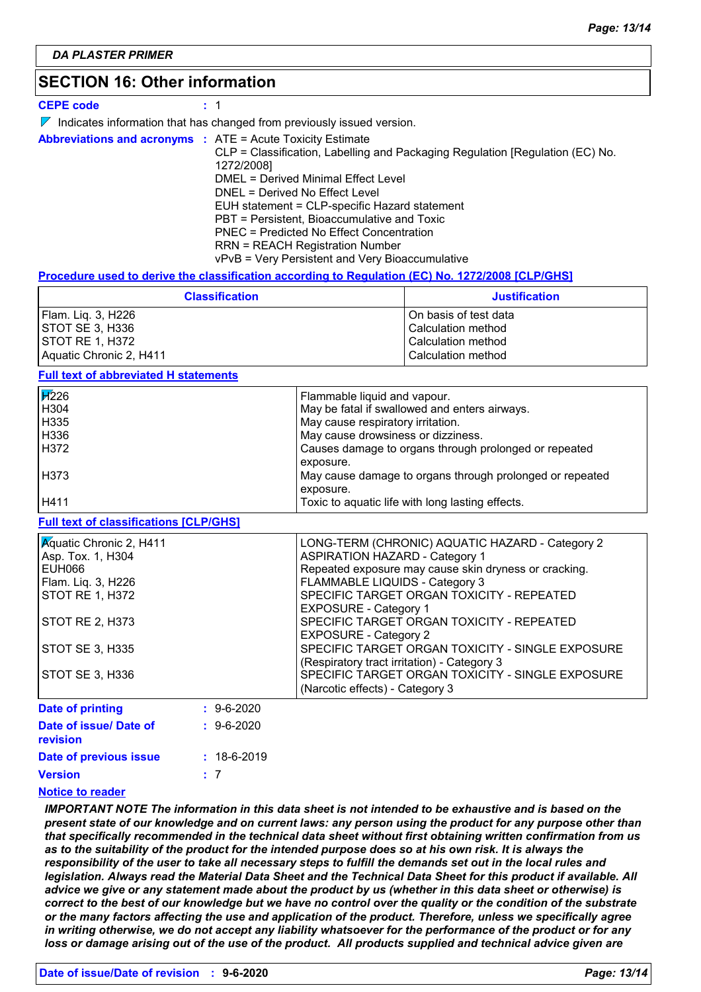### **SECTION 16: Other information**

**CEPE code :** 1

| $\nabla$ Indicates information that has changed from previously issued version. |  |
|---------------------------------------------------------------------------------|--|
|---------------------------------------------------------------------------------|--|

**Abbreviations and acronyms :** ATE = Acute Toxicity Estimate CLP = Classification, Labelling and Packaging Regulation [Regulation (EC) No. 1272/2008] DMEL = Derived Minimal Effect Level DNEL = Derived No Effect Level EUH statement = CLP-specific Hazard statement PBT = Persistent, Bioaccumulative and Toxic PNEC = Predicted No Effect Concentration RRN = REACH Registration Number vPvB = Very Persistent and Very Bioaccumulative

#### **Procedure used to derive the classification according to Regulation (EC) No. 1272/2008 [CLP/GHS]**

| <b>Classification</b>   | <b>Justification</b>  |
|-------------------------|-----------------------|
| Flam. Lig. 3, H226      | On basis of test data |
| STOT SE 3, H336         | Calculation method    |
| <b>ISTOT RE 1. H372</b> | Calculation method    |
| Aquatic Chronic 2, H411 | Calculation method    |

#### **Full text of abbreviated H statements**

| $\cancel{H}$ 226 | Flammable liquid and vapour.                             |
|------------------|----------------------------------------------------------|
| H304             | May be fatal if swallowed and enters airways.            |
| H335             | May cause respiratory irritation.                        |
| H336             | May cause drowsiness or dizziness.                       |
| H372             | Causes damage to organs through prolonged or repeated    |
|                  | exposure.                                                |
| H373             | May cause damage to organs through prolonged or repeated |
|                  | exposure.                                                |
| H411             | Toxic to aquatic life with long lasting effects.         |

#### **Full text of classifications [CLP/GHS]**

| <b>Aquatic Chronic 2, H411</b>       | LONG-TERM (CHRONIC) AQUATIC HAZARD - Category 2       |
|--------------------------------------|-------------------------------------------------------|
| Asp. Tox. 1, H304                    | <b>ASPIRATION HAZARD - Category 1</b>                 |
| EUH066                               | Repeated exposure may cause skin dryness or cracking. |
| Flam. Liq. 3, H226                   | FLAMMABLE LIQUIDS - Category 3                        |
| STOT RE 1, H372                      | SPECIFIC TARGET ORGAN TOXICITY - REPEATED             |
|                                      | <b>EXPOSURE - Category 1</b>                          |
| STOT RE 2, H373                      | SPECIFIC TARGET ORGAN TOXICITY - REPEATED             |
|                                      | <b>EXPOSURE - Category 2</b>                          |
| STOT SE 3, H335                      | SPECIFIC TARGET ORGAN TOXICITY - SINGLE EXPOSURE      |
|                                      | (Respiratory tract irritation) - Category 3           |
| STOT SE 3, H336                      | SPECIFIC TARGET ORGAN TOXICITY - SINGLE EXPOSURE      |
|                                      | (Narcotic effects) - Category 3                       |
| Date of printing<br>$: 9 - 6 - 2020$ |                                                       |

| Date of issue/ Date of | $: 9 - 6 - 2020$  |
|------------------------|-------------------|
| revision               |                   |
| Date of previous issue | $: 18 - 6 - 2019$ |
| <b>Version</b>         | : 7               |
|                        |                   |

#### **Notice to reader**

*IMPORTANT NOTE The information in this data sheet is not intended to be exhaustive and is based on the present state of our knowledge and on current laws: any person using the product for any purpose other than that specifically recommended in the technical data sheet without first obtaining written confirmation from us as to the suitability of the product for the intended purpose does so at his own risk. It is always the responsibility of the user to take all necessary steps to fulfill the demands set out in the local rules and legislation. Always read the Material Data Sheet and the Technical Data Sheet for this product if available. All advice we give or any statement made about the product by us (whether in this data sheet or otherwise) is correct to the best of our knowledge but we have no control over the quality or the condition of the substrate or the many factors affecting the use and application of the product. Therefore, unless we specifically agree in writing otherwise, we do not accept any liability whatsoever for the performance of the product or for any loss or damage arising out of the use of the product. All products supplied and technical advice given are*